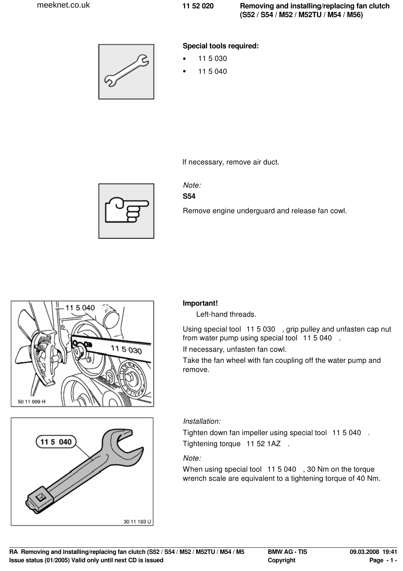

### **Special tools required:**

- 11 5 030
- 11 5 040

If necessary, remove air duct.



# Note:

**S54**

Remove engine underguard and release fan cowl.



# 115 040 30 11 193 U

## **Important!**

Left-hand threads.

Using special tool 11 5 030 , grip pulley and unfasten cap nut from water pump using special tool 11 5 040 .

If necessary, unfasten fan cowl.

Take the fan wheel with fan coupling off the water pump and remove.

## Installation:

Tighten down fan impeller using special tool 11 5 040 . Tightening torque 11 52 1AZ .

### Note:

When using special tool 11 5 040, 30 Nm on the torque wrench scale are equivalent to a tightening torque of 40 Nm.